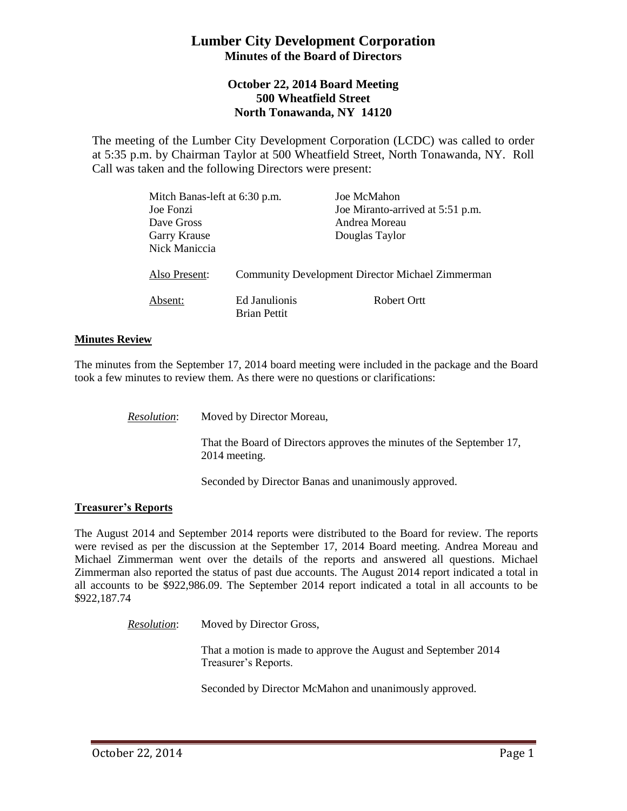# **Lumber City Development Corporation Minutes of the Board of Directors**

## **October 22, 2014 Board Meeting 500 Wheatfield Street North Tonawanda, NY 14120**

The meeting of the Lumber City Development Corporation (LCDC) was called to order at 5:35 p.m. by Chairman Taylor at 500 Wheatfield Street, North Tonawanda, NY. Roll Call was taken and the following Directors were present:

| Mitch Banas-left at 6:30 p.m. |                                                         | Joe McMahon                      |
|-------------------------------|---------------------------------------------------------|----------------------------------|
| Joe Fonzi                     |                                                         | Joe Miranto-arrived at 5:51 p.m. |
| Dave Gross                    |                                                         | Andrea Moreau                    |
| <b>Garry Krause</b>           |                                                         | Douglas Taylor                   |
| Nick Maniccia                 |                                                         |                                  |
| Also Present:                 | <b>Community Development Director Michael Zimmerman</b> |                                  |
| Absent:                       | Ed Janulionis<br><b>Brian Pettit</b>                    | Robert Ortt                      |

#### **Minutes Review**

The minutes from the September 17, 2014 board meeting were included in the package and the Board took a few minutes to review them. As there were no questions or clarifications:

*Resolution*: Moved by Director Moreau,

That the Board of Directors approves the minutes of the September 17, 2014 meeting.

Seconded by Director Banas and unanimously approved.

### **Treasurer's Reports**

The August 2014 and September 2014 reports were distributed to the Board for review. The reports were revised as per the discussion at the September 17, 2014 Board meeting. Andrea Moreau and Michael Zimmerman went over the details of the reports and answered all questions. Michael Zimmerman also reported the status of past due accounts. The August 2014 report indicated a total in all accounts to be \$922,986.09. The September 2014 report indicated a total in all accounts to be \$922,187.74

*Resolution*: Moved by Director Gross,

That a motion is made to approve the August and September 2014 Treasurer's Reports.

Seconded by Director McMahon and unanimously approved.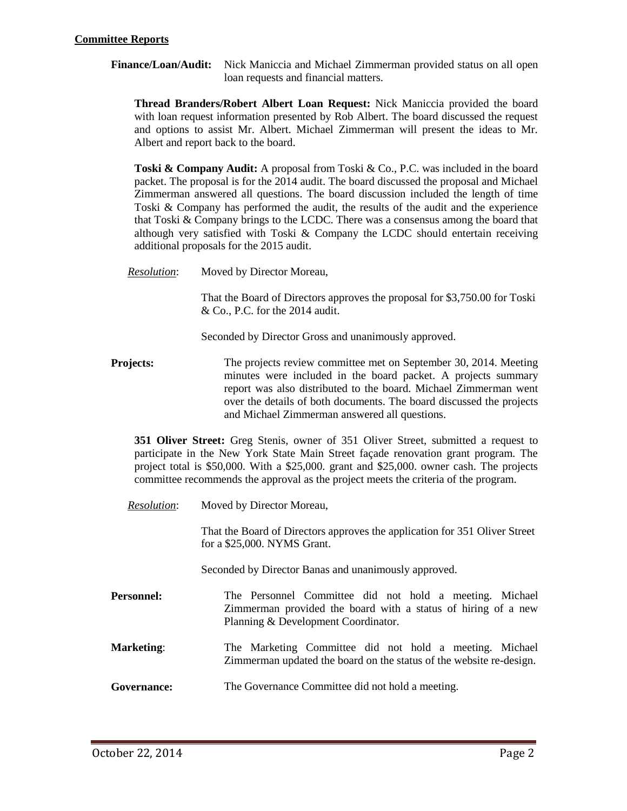**Finance/Loan/Audit:** Nick Maniccia and Michael Zimmerman provided status on all open loan requests and financial matters.

**Thread Branders/Robert Albert Loan Request:** Nick Maniccia provided the board with loan request information presented by Rob Albert. The board discussed the request and options to assist Mr. Albert. Michael Zimmerman will present the ideas to Mr. Albert and report back to the board.

**Toski & Company Audit:** A proposal from Toski & Co., P.C. was included in the board packet. The proposal is for the 2014 audit. The board discussed the proposal and Michael Zimmerman answered all questions. The board discussion included the length of time Toski & Company has performed the audit, the results of the audit and the experience that Toski & Company brings to the LCDC. There was a consensus among the board that although very satisfied with Toski & Company the LCDC should entertain receiving additional proposals for the 2015 audit.

*Resolution*: Moved by Director Moreau,

That the Board of Directors approves the proposal for \$3,750.00 for Toski & Co., P.C. for the 2014 audit.

Seconded by Director Gross and unanimously approved.

**Projects:** The projects review committee met on September 30, 2014. Meeting minutes were included in the board packet. A projects summary report was also distributed to the board. Michael Zimmerman went over the details of both documents. The board discussed the projects and Michael Zimmerman answered all questions.

**351 Oliver Street:** Greg Stenis, owner of 351 Oliver Street, submitted a request to participate in the New York State Main Street façade renovation grant program. The project total is \$50,000. With a \$25,000. grant and \$25,000. owner cash. The projects committee recommends the approval as the project meets the criteria of the program.

*Resolution*: Moved by Director Moreau,

That the Board of Directors approves the application for 351 Oliver Street for a \$25,000. NYMS Grant.

Seconded by Director Banas and unanimously approved.

- **Personnel:** The Personnel Committee did not hold a meeting. Michael Zimmerman provided the board with a status of hiring of a new Planning & Development Coordinator.
- **Marketing**: The Marketing Committee did not hold a meeting. Michael Zimmerman updated the board on the status of the website re-design.
- Governance: The Governance Committee did not hold a meeting.